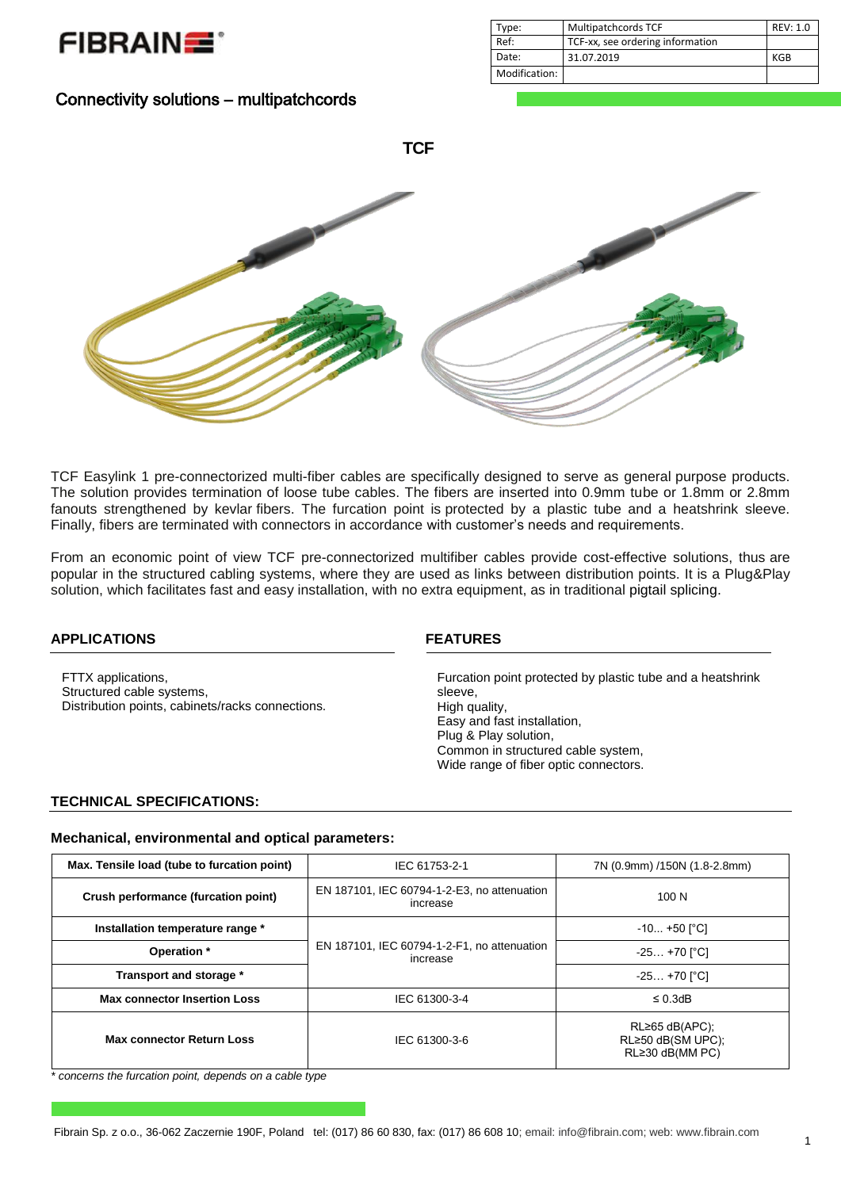

| Date:                     | 31.07.2019 | KGB |
|---------------------------|------------|-----|
| $\cdots$<br>Modification: |            |     |
|                           |            |     |

# Connectivity solutions – multipatchcords



TCF Easylink 1 pre-connectorized multi-fiber cables are specifically designed to serve as general purpose products. The solution provides termination of loose tube cables. The fibers are inserted into 0.9mm tube or 1.8mm or 2.8mm fanouts strengthened by kevlar fibers. The furcation point is protected by a plastic tube and a heatshrink sleeve. Finally, fibers are terminated with connectors in accordance with customer's needs and requirements.

From an economic point of view TCF pre-connectorized multifiber cables provide cost-effective solutions, thus are popular in the structured cabling systems, where they are used as links between distribution points. It is a Plug&Play solution, which facilitates fast and easy installation, with no extra equipment, as in traditional pigtail splicing.

#### **APPLICATIONS FEATURES**

FTTX applications, Structured cable systems, Distribution points, cabinets/racks connections.

Furcation point protected by plastic tube and a heatshrink sleeve, High quality, Easy and fast installation, Plug & Play solution, Common in structured cable system, Wide range of fiber optic connectors.

Type: Multipatchcords TCF REV: 1.0

Ref: TCF-xx, see ordering information

## **TECHNICAL SPECIFICATIONS:**

#### **Mechanical, environmental and optical parameters:**

| Max. Tensile load (tube to furcation point) | IEC 61753-2-1                                           | 7N (0.9mm) /150N (1.8-2.8mm)                                       |  |  |
|---------------------------------------------|---------------------------------------------------------|--------------------------------------------------------------------|--|--|
| Crush performance (furcation point)         | EN 187101, IEC 60794-1-2-E3, no attenuation<br>increase | 100 <sub>N</sub>                                                   |  |  |
| Installation temperature range *            |                                                         | $-10 +50$ [°C]                                                     |  |  |
| Operation *                                 | EN 187101, IEC 60794-1-2-F1, no attenuation<br>increase | $-25+70$ [°C]                                                      |  |  |
| Transport and storage *                     |                                                         | $-25+70$ [°C]                                                      |  |  |
| <b>Max connector Insertion Loss</b>         | IEC 61300-3-4                                           | $\leq$ 0.3dB                                                       |  |  |
| <b>Max connector Return Loss</b>            | IEC 61300-3-6                                           | $RL \ge 65$ dB(APC);<br>RL≥50 dB(SM UPC);<br>$RL \ge 30$ dB(MM PC) |  |  |

*\* concerns the furcation point, depends on a cable type*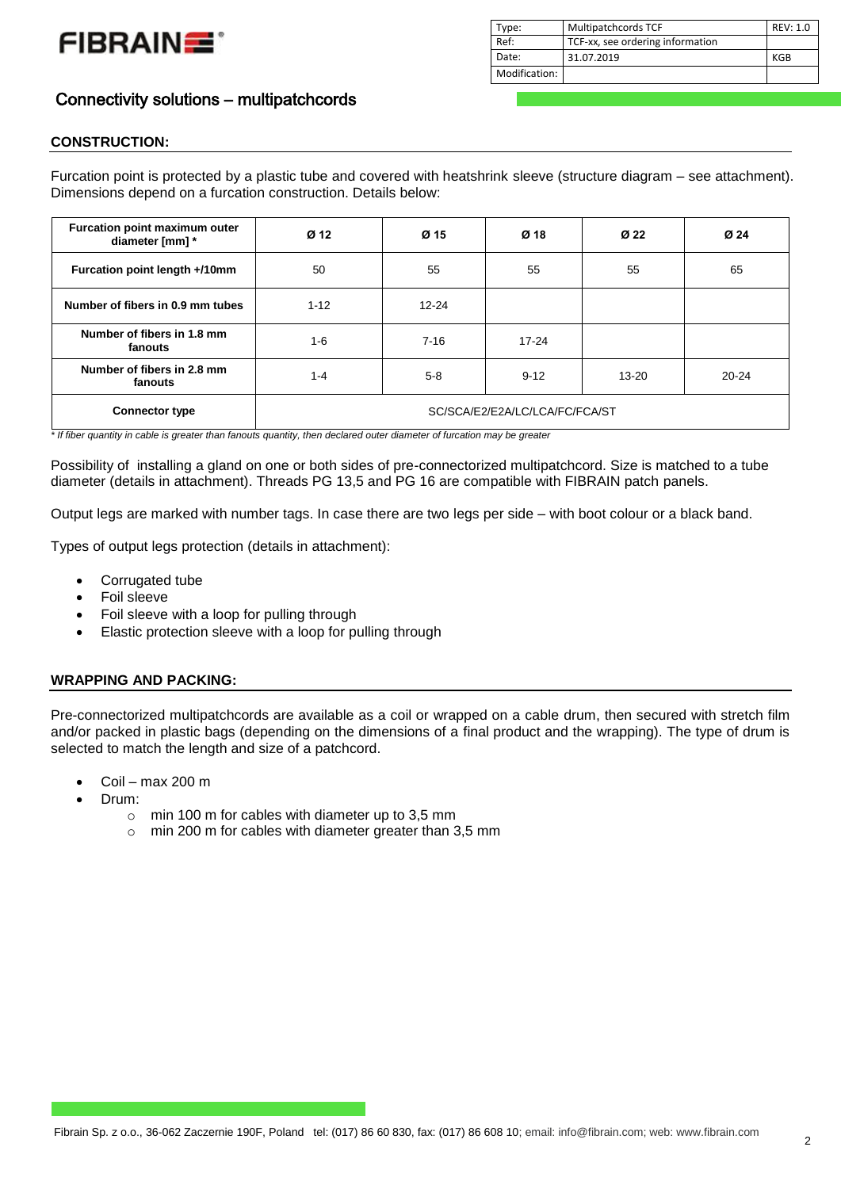

| Type:         | Multipatchcords TCF              | REV: 1.0 |
|---------------|----------------------------------|----------|
| Ref:          | TCF-xx, see ordering information |          |
| Date:         | 31.07.2019                       | KGB      |
| Modification: |                                  |          |

# Connectivity solutions – multipatchcords

## **CONSTRUCTION:**

Furcation point is protected by a plastic tube and covered with heatshrink sleeve (structure diagram – see attachment). Dimensions depend on a furcation construction. Details below:

| Furcation point maximum outer<br>diameter [mm] * | Ø <sub>12</sub>                | Ø 15                  | Ø 18     | Ø 22      | Ø 24      |
|--------------------------------------------------|--------------------------------|-----------------------|----------|-----------|-----------|
| Furcation point length +/10mm                    | 50                             | 55                    | 55       | 55        | 65        |
| Number of fibers in 0.9 mm tubes                 | $1 - 12$                       | $12 - 24$             |          |           |           |
| Number of fibers in 1.8 mm<br>fanouts            | $1 - 6$                        | $7 - 16$<br>$17 - 24$ |          |           |           |
| Number of fibers in 2.8 mm<br>fanouts            | $1 - 4$                        | $5 - 8$               | $9 - 12$ | $13 - 20$ | $20 - 24$ |
| <b>Connector type</b>                            | SC/SCA/E2/E2A/LC/LCA/FC/FCA/ST |                       |          |           |           |

*\* If fiber quantity in cable is greater than fanouts quantity, then declared outer diameter of furcation may be greater*

Possibility of installing a gland on one or both sides of pre-connectorized multipatchcord. Size is matched to a tube diameter (details in attachment). Threads PG 13,5 and PG 16 are compatible with FIBRAIN patch panels.

Output legs are marked with number tags. In case there are two legs per side – with boot colour or a black band.

Types of output legs protection (details in attachment):

- Corrugated tube
- Foil sleeve
- Foil sleeve with a loop for pulling through
- Elastic protection sleeve with a loop for pulling through

## **WRAPPING AND PACKING:**

Pre-connectorized multipatchcords are available as a coil or wrapped on a cable drum, then secured with stretch film and/or packed in plastic bags (depending on the dimensions of a final product and the wrapping). The type of drum is selected to match the length and size of a patchcord.

- Coil max 200 m
- Drum:
	- o min 100 m for cables with diameter up to 3,5 mm
	- o min 200 m for cables with diameter greater than 3,5 mm